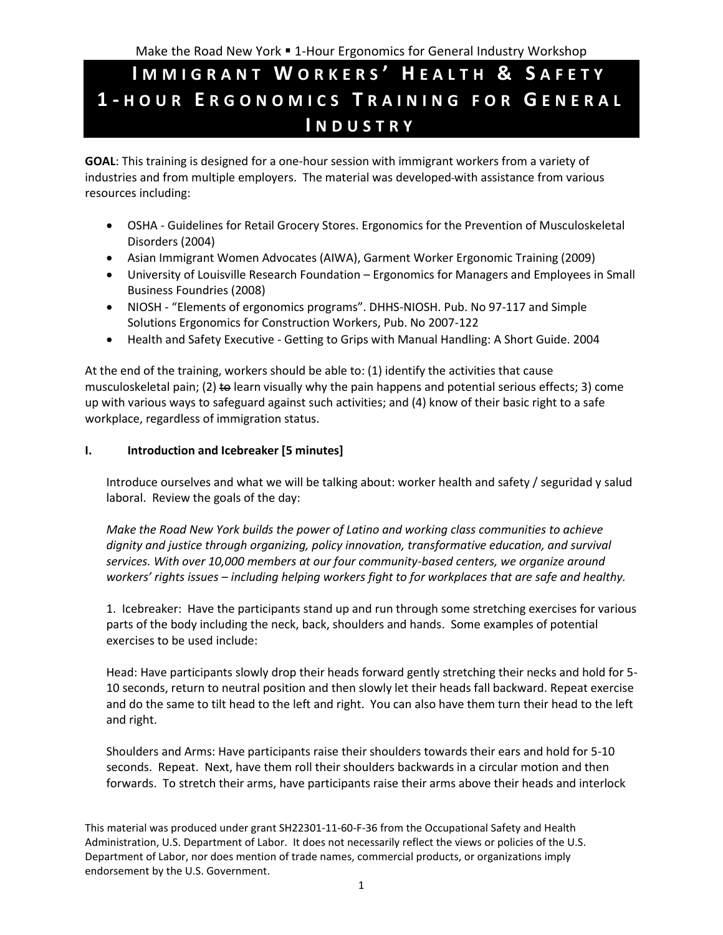# **I M M I G R A N T W O R K E R S ' H E A L T H & S A F E T Y 1 - H O U R E R G O N O M I C S T R A I N I N G F O R G E N E R A L I N D U S T R Y**

**GOAL**: This training is designed for a one-hour session with immigrant workers from a variety of industries and from multiple employers. The material was developed with assistance from various resources including:

- OSHA Guidelines for Retail Grocery Stores. Ergonomics for the Prevention of Musculoskeletal Disorders (2004)
- Asian Immigrant Women Advocates (AIWA), Garment Worker Ergonomic Training (2009)
- University of Louisville Research Foundation Ergonomics for Managers and Employees in Small Business Foundries (2008)
- NIOSH "Elements of ergonomics programs". DHHS-NIOSH. Pub. No 97-117 and Simple Solutions Ergonomics for Construction Workers, Pub. No 2007-122
- Health and Safety Executive Getting to Grips with Manual Handling: A Short Guide. 2004

At the end of the training, workers should be able to: (1) identify the activities that cause musculoskeletal pain; (2) to learn visually why the pain happens and potential serious effects; 3) come up with various ways to safeguard against such activities; and (4) know of their basic right to a safe workplace, regardless of immigration status.

### **I. Introduction and Icebreaker [5 minutes]**

Introduce ourselves and what we will be talking about: worker health and safety / seguridad y salud laboral. Review the goals of the day:

*Make the Road New York builds the power of Latino and working class communities to achieve dignity and justice through organizing, policy innovation, transformative education, and survival services. With over 10,000 members at our four community-based centers, we organize around workers' rights issues – including helping workers fight to for workplaces that are safe and healthy.* 

1. Icebreaker: Have the participants stand up and run through some stretching exercises for various parts of the body including the neck, back, shoulders and hands. Some examples of potential exercises to be used include:

Head: Have participants slowly drop their heads forward gently stretching their necks and hold for 5- 10 seconds, return to neutral position and then slowly let their heads fall backward. Repeat exercise and do the same to tilt head to the left and right. You can also have them turn their head to the left and right.

Shoulders and Arms: Have participants raise their shoulders towards their ears and hold for 5-10 seconds. Repeat. Next, have them roll their shoulders backwards in a circular motion and then forwards. To stretch their arms, have participants raise their arms above their heads and interlock

This material was produced under grant SH22301-11-60-F-36 from the Occupational Safety and Health Administration, U.S. Department of Labor. It does not necessarily reflect the views or policies of the U.S. Department of Labor, nor does mention of trade names, commercial products, or organizations imply endorsement by the U.S. Government.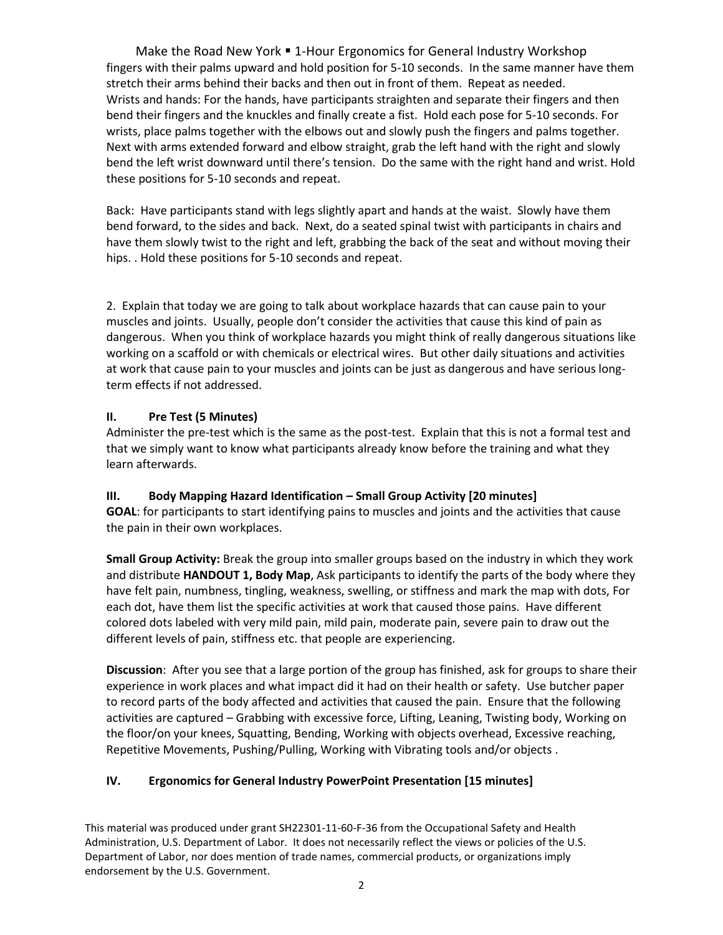Make the Road New York . 1-Hour Ergonomics for General Industry Workshop fingers with their palms upward and hold position for 5-10 seconds. In the same manner have them stretch their arms behind their backs and then out in front of them. Repeat as needed. Wrists and hands: For the hands, have participants straighten and separate their fingers and then bend their fingers and the knuckles and finally create a fist. Hold each pose for 5-10 seconds. For wrists, place palms together with the elbows out and slowly push the fingers and palms together. Next with arms extended forward and elbow straight, grab the left hand with the right and slowly bend the left wrist downward until there's tension. Do the same with the right hand and wrist. Hold these positions for 5-10 seconds and repeat.

Back: Have participants stand with legs slightly apart and hands at the waist. Slowly have them bend forward, to the sides and back. Next, do a seated spinal twist with participants in chairs and have them slowly twist to the right and left, grabbing the back of the seat and without moving their hips. . Hold these positions for 5-10 seconds and repeat.

2. Explain that today we are going to talk about workplace hazards that can cause pain to your muscles and joints. Usually, people don't consider the activities that cause this kind of pain as dangerous. When you think of workplace hazards you might think of really dangerous situations like working on a scaffold or with chemicals or electrical wires. But other daily situations and activities at work that cause pain to your muscles and joints can be just as dangerous and have serious longterm effects if not addressed.

### **II. Pre Test (5 Minutes)**

Administer the pre-test which is the same as the post-test. Explain that this is not a formal test and that we simply want to know what participants already know before the training and what they learn afterwards.

### **III. Body Mapping Hazard Identification – Small Group Activity [20 minutes]**

**GOAL**: for participants to start identifying pains to muscles and joints and the activities that cause the pain in their own workplaces.

**Small Group Activity:** Break the group into smaller groups based on the industry in which they work and distribute **HANDOUT 1, Body Map**, Ask participants to identify the parts of the body where they have felt pain, numbness, tingling, weakness, swelling, or stiffness and mark the map with dots, For each dot, have them list the specific activities at work that caused those pains. Have different colored dots labeled with very mild pain, mild pain, moderate pain, severe pain to draw out the different levels of pain, stiffness etc. that people are experiencing.

**Discussion**: After you see that a large portion of the group has finished, ask for groups to share their experience in work places and what impact did it had on their health or safety. Use butcher paper to record parts of the body affected and activities that caused the pain. Ensure that the following activities are captured – Grabbing with excessive force, Lifting, Leaning, Twisting body, Working on the floor/on your knees, Squatting, Bending, Working with objects overhead, Excessive reaching, Repetitive Movements, Pushing/Pulling, Working with Vibrating tools and/or objects .

### **IV. Ergonomics for General Industry PowerPoint Presentation [15 minutes]**

This material was produced under grant SH22301-11-60-F-36 from the Occupational Safety and Health Administration, U.S. Department of Labor. It does not necessarily reflect the views or policies of the U.S. Department of Labor, nor does mention of trade names, commercial products, or organizations imply endorsement by the U.S. Government.